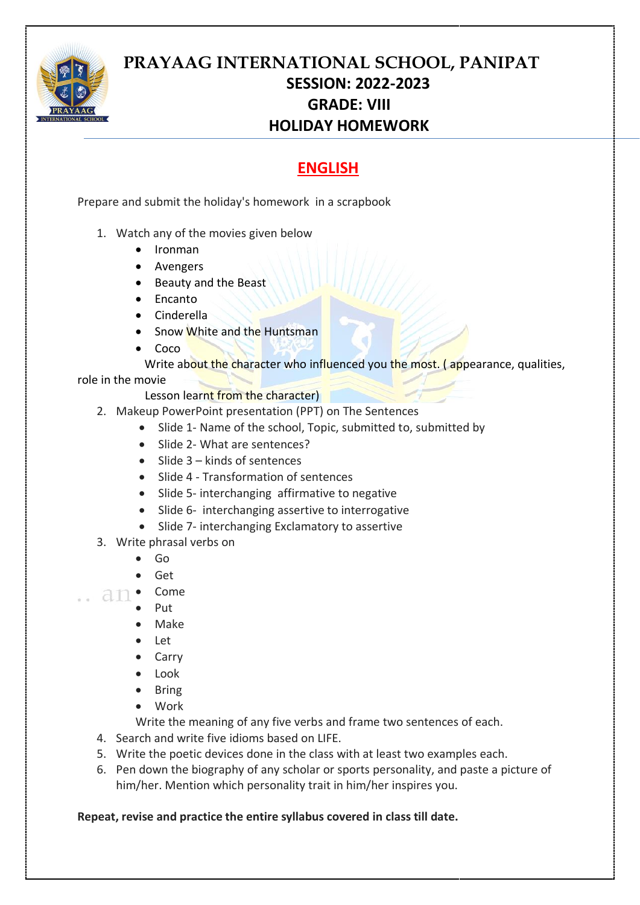

# **PRAYAAG INTERNATIONAL SCHOOL, PANIPAT SESSION: 2022-2023 GRADE: VIII HOLIDAY HOMEWORK**

# **ENGLISH**

Prepare and submit the holiday's homework in a scrapbook

- 1. Watch any of the movies given below
	- Ironman
	- Avengers
	- Beauty and the Beast
	- Encanto
	- Cinderella
	- Snow White and the Huntsman
	- Coco

Write about the character who influenced you the most. (appearance, qualities,

#### role in the movie

Lesson learnt from the character)

- 2. Makeup PowerPoint presentation (PPT) on The Sentences
	- Slide 1- Name of the school, Topic, submitted to, submitted by
	- Slide 2- What are sentences?
	- Slide 3 kinds of sentences
	- Slide 4 Transformation of sentences
	- Slide 5- interchanging affirmative to negative
	- Slide 6- interchanging assertive to interrogative
	- Slide 7- interchanging Exclamatory to assertive
- 3. Write phrasal verbs on
	- Go
	- Get
- an Come
	- Put
	- Make
	- Let
	- **Carry**
	- Look
	- **Bring**
	- Work

Write the meaning of any five verbs and frame two sentences of each.

- 4. Search and write five idioms based on LIFE.
- 5. Write the poetic devices done in the class with at least two examples each.
- 6. Pen down the biography of any scholar or sports personality, and paste a picture of him/her. Mention which personality trait in him/her inspires you.

### **Repeat, revise and practice the entire syllabus covered in class till date.**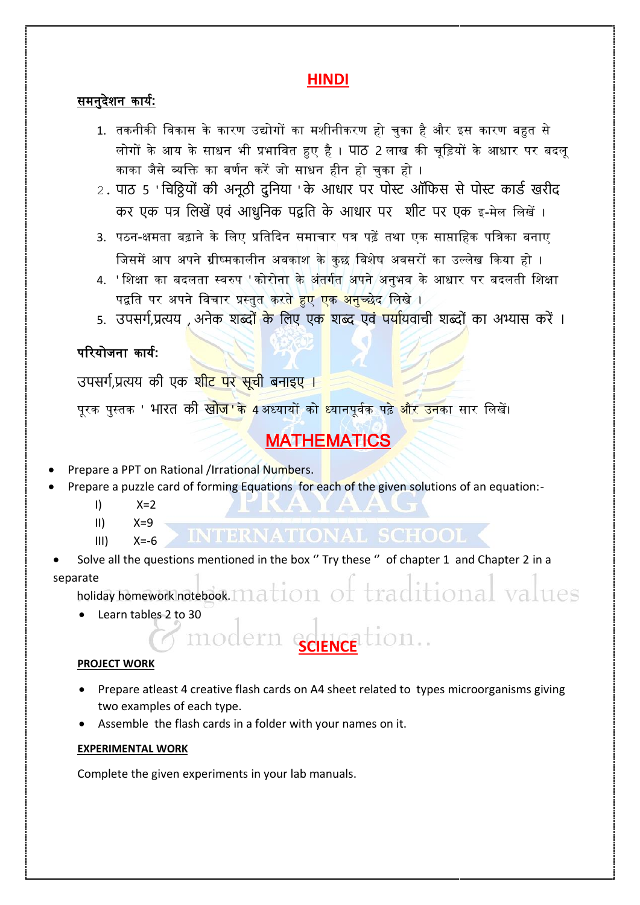## **HINDI**

### समनुदेशन कार्य**:**

- 1. तकनीकी विकास के कारण उद्योगों का मशीनीकरण हो चुका है और इस कारण बहुत से लोगों के आर् के साधन भी प्रभावित हुए है। पाठ 2 लाख की चूविर्ों के आधार पर बदलू काका जैसे व्यक्ति का वर्णन करें जो साधन हीन हो चुका हो ।
- 2. पाठ 5 ' चिठ्ठियों की अनूठी दुनिया ' के आधार पर पोस्ट ऑफिस से पोस्ट कार्ड खरीद कर एक पत्र लिखें एवं आधुनिक पद्वति के आधार पर शीट पर एक इ-मेल लिखें।
- 3. पठन-क्षमता बढ़ाने के लिए प्रतिदिन समाचार पत्र पढ़ें तथा एक साप्ताहिक पत्रिका बनाए जिसमें आप अपने ग्रीष्मकालीन अवकाश के कुछ विशेष अवसरों का उल्लेख किया हो ।
- 4. ' शिक्षा का बदलता स्वरुप ' कोरोना के अंतर्गत अपने अनुभव के आधार पर बदलती शिक्षा पद्वति पर अपने विचार प्रस्तुत करत<mark>े हुए एक अनुच्छे</mark>द लिखे ।
- 5. उपसर्ग,प्रत्यय , अनेक शब्दो<mark>ं के लिए एक शब्द एवं पर्या</mark>यवाची शब्दों का अभ्यास करें ।

### पररर्ोजना कार्य**:**

उपसर्ग,प्रत्यय की एक शीट पर सूची बनाइए ।

पुरक पुस्तक ' भारत की खो<mark>ज 'के 4 अध्यायों को ध्यानपूर्वक पढ़े और उन</mark>का सार लिखें।

# **MATHEMATICS**

- Prepare a PPT on Rational /Irrational Numbers.
- Prepare a puzzle card of forming Equations for each of the given solutions of an equation:-
	- $I)$   $X=2$
	- $II)$   $X=9$
	- $III) \tX = -6$

**INTERNATIONAL SCHOOL <** 

Solve all the questions mentioned in the box " Try these " of chapter 1 and Chapter 2 in a separate

holiday homework notebook. mation of traditional val

• Learn tables 2 to 30

#### **PROJECT WORK**

• Prepare atleast 4 creative flash cards on A4 sheet related to types microorganisms giving two examples of each type.

SCIENCE tion..

Assemble the flash cards in a folder with your names on it.

modern

#### **EXPERIMENTAL WORK**

Complete the given experiments in your lab manuals.